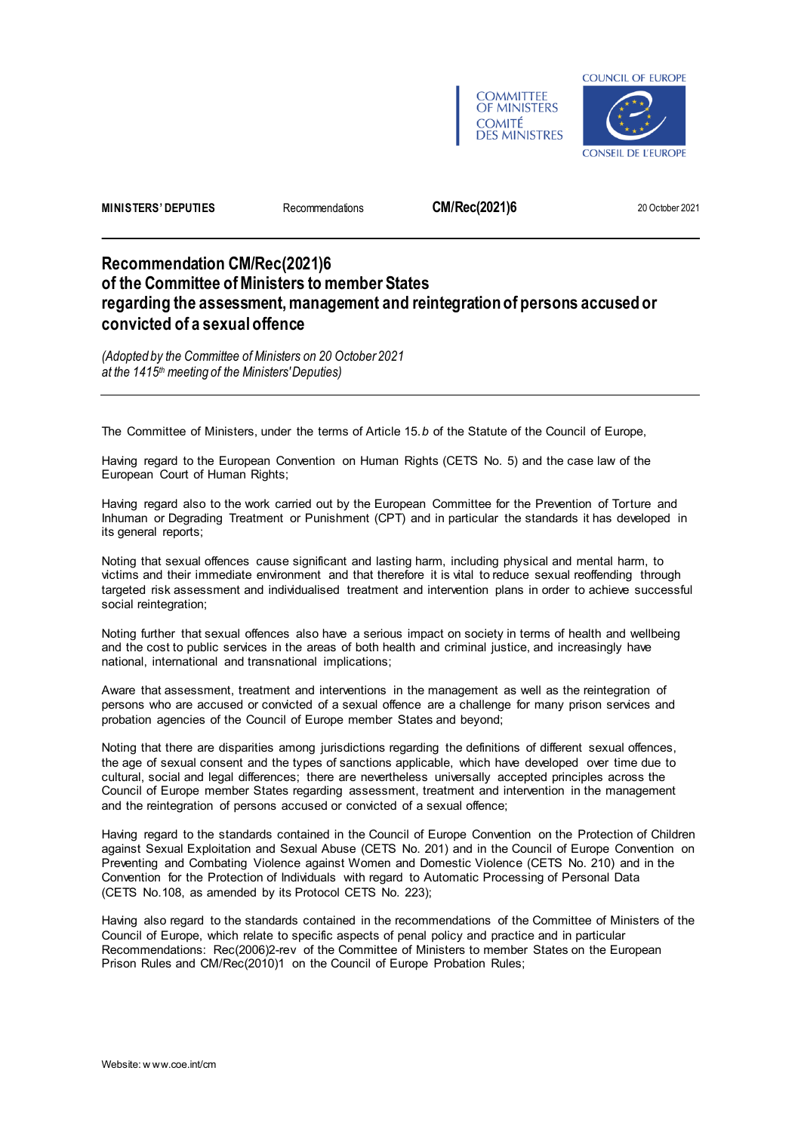



**MINISTERS' DEPUTIES** Recommendations **CM/Rec(2021)6** 20 October 2021

# **Recommendation CM/Rec(2021)6 of the Committee of Ministers to member States regarding the assessment, management and reintegration of persons accused or convicted of a sexual offence**

*(Adopted by the Committee of Ministers on 20 October 2021 at the 1415th meeting of the Ministers' Deputies)*

The Committee of Ministers, under the terms of Article 15.*b* of the Statute of the Council of Europe,

Having regard to the European Convention on Human Rights (CETS No. 5) and the case law of the European Court of Human Rights;

Having regard also to the work carried out by the European Committee for the Prevention of Torture and Inhuman or Degrading Treatment or Punishment (CPT) and in particular the standards it has developed in its general reports;

Noting that sexual offences cause significant and lasting harm, including physical and mental harm, to victims and their immediate environment and that therefore it is vital to reduce sexual reoffending through targeted risk assessment and individualised treatment and intervention plans in order to achieve successful social reintegration;

Noting further that sexual offences also have a serious impact on society in terms of health and wellbeing and the cost to public services in the areas of both health and criminal justice, and increasingly have national, international and transnational implications;

Aware that assessment, treatment and interventions in the management as well as the reintegration of persons who are accused or convicted of a sexual offence are a challenge for many prison services and probation agencies of the Council of Europe member States and beyond;

Noting that there are disparities among jurisdictions regarding the definitions of different sexual offences, the age of sexual consent and the types of sanctions applicable, which have developed over time due to cultural, social and legal differences; there are nevertheless universally accepted principles across the Council of Europe member States regarding assessment, treatment and intervention in the management and the reintegration of persons accused or convicted of a sexual offence;

Having regard to the standards contained in the Council of Europe Convention on the Protection of Children against Sexual Exploitation and Sexual Abuse (CETS No. 201) and in the Council of Europe Convention on Preventing and Combating Violence against Women and Domestic Violence (CETS No. 210) and in the Convention for the Protection of Individuals with regard to Automatic Processing of Personal Data (CETS No.108, as amended by its Protocol CETS No. 223);

Having also regard to the standards contained in the recommendations of the Committee of Ministers of the Council of Europe, which relate to specific aspects of penal policy and practice and in particular Recommendations: Rec(2006)2-rev of the Committee of Ministers to member States on the European Prison Rules and CM/Rec(2010)1 on the Council of Europe Probation Rules;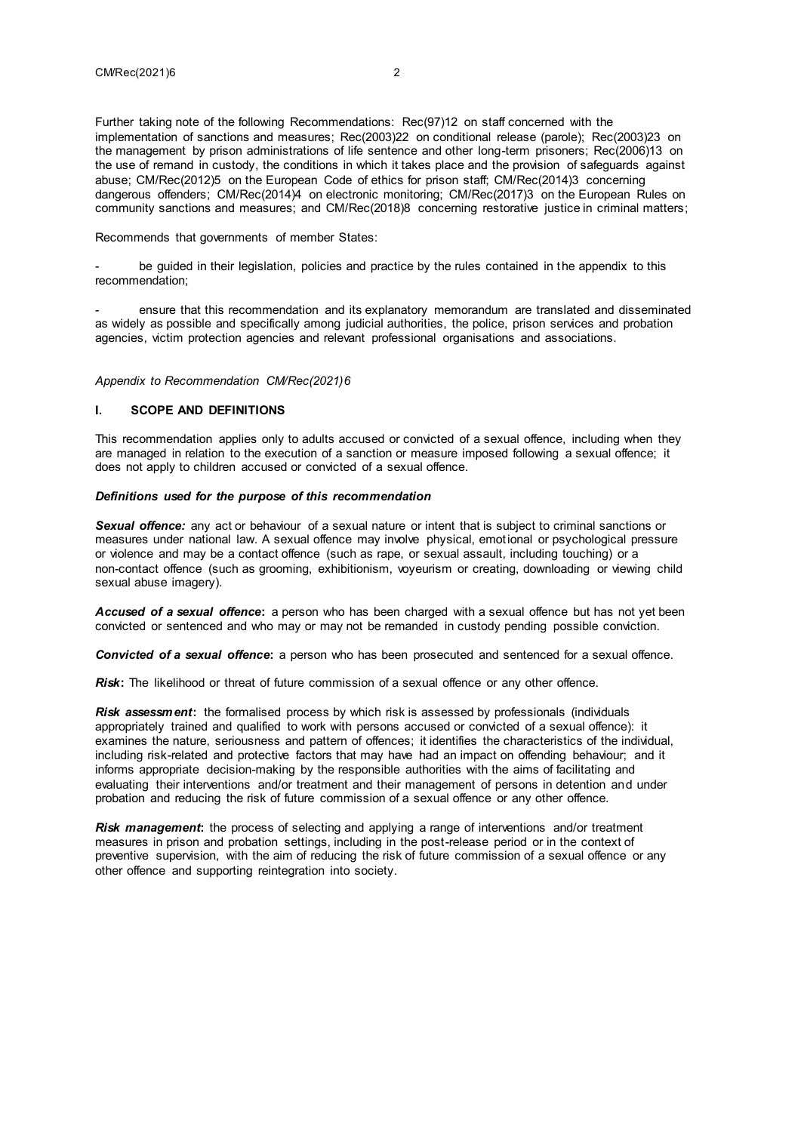Further taking note of the following Recommendations: Rec(97)12 on staff concerned with the implementation of sanctions and measures; Rec(2003)22 on conditional release (parole); Rec(2003)23 on the management by prison administrations of life sentence and other long-term prisoners; Rec(2006)13 on the use of remand in custody, the conditions in which it takes place and the provision of safeguards against abuse; CM/Rec(2012)5 on the European Code of ethics for prison staff; CM/Rec(2014)3 concerning dangerous offenders; CM/Rec(2014)4 on electronic monitoring; CM/Rec(2017)3 on the European Rules on community sanctions and measures; and CM/Rec(2018)8 concerning restorative justice in criminal matters;

Recommends that governments of member States:

be guided in their legislation, policies and practice by the rules contained in the appendix to this recommendation;

- ensure that this recommendation and its explanatory memorandum are translated and disseminated as widely as possible and specifically among judicial authorities, the police, prison services and probation agencies, victim protection agencies and relevant professional organisations and associations.

#### *Appendix to Recommendation CM/Rec(2021)6*

#### **I. SCOPE AND DEFINITIONS**

This recommendation applies only to adults accused or convicted of a sexual offence, including when they are managed in relation to the execution of a sanction or measure imposed following a sexual offence; it does not apply to children accused or convicted of a sexual offence.

#### *Definitions used for the purpose of this recommendation*

*Sexual offence:* any act or behaviour of a sexual nature or intent that is subject to criminal sanctions or measures under national law. A sexual offence may involve physical, emotional or psychological pressure or violence and may be a contact offence (such as rape, or sexual assault, including touching) or a non-contact offence (such as grooming, exhibitionism, voyeurism or creating, downloading or viewing child sexual abuse imagery).

*Accused of a sexual offence***:** a person who has been charged with a sexual offence but has not yet been convicted or sentenced and who may or may not be remanded in custody pending possible conviction.

*Convicted of a sexual offence***:** a person who has been prosecuted and sentenced for a sexual offence.

*Risk*: The likelihood or threat of future commission of a sexual offence or any other offence.

*Risk assessment***:** the formalised process by which risk is assessed by professionals (individuals appropriately trained and qualified to work with persons accused or convicted of a sexual offence): it examines the nature, seriousness and pattern of offences; it identifies the characteristics of the individual, including risk-related and protective factors that may have had an impact on offending behaviour; and it informs appropriate decision-making by the responsible authorities with the aims of facilitating and evaluating their interventions and/or treatment and their management of persons in detention and under probation and reducing the risk of future commission of a sexual offence or any other offence.

**Risk management:** the process of selecting and applying a range of interventions and/or treatment measures in prison and probation settings, including in the post-release period or in the context of preventive supervision, with the aim of reducing the risk of future commission of a sexual offence or any other offence and supporting reintegration into society.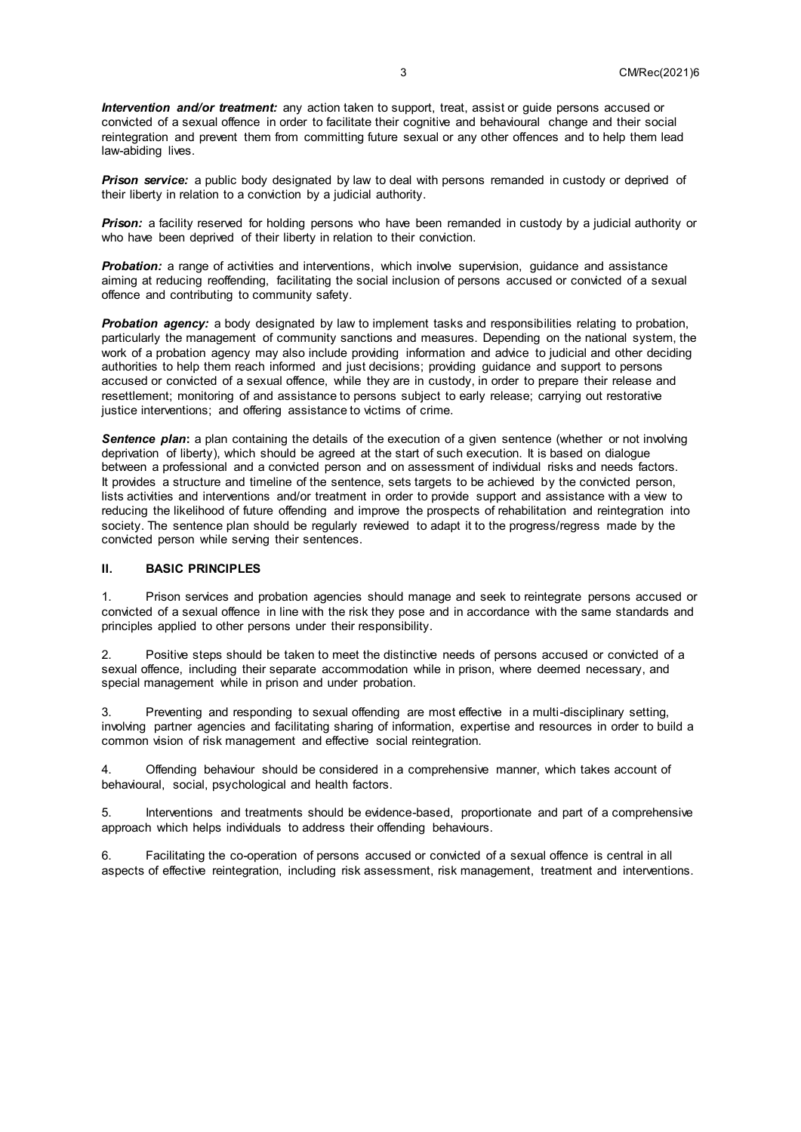*Intervention and/or treatment:* any action taken to support, treat, assist or guide persons accused or convicted of a sexual offence in order to facilitate their cognitive and behavioural change and their social reintegration and prevent them from committing future sexual or any other offences and to help them lead law-abiding lives.

**Prison service:** a public body designated by law to deal with persons remanded in custody or deprived of their liberty in relation to a conviction by a judicial authority.

*Prison:* a facility reserved for holding persons who have been remanded in custody by a judicial authority or who have been deprived of their liberty in relation to their conviction.

**Probation:** a range of activities and interventions, which involve supervision, guidance and assistance aiming at reducing reoffending, facilitating the social inclusion of persons accused or convicted of a sexual offence and contributing to community safety.

**Probation agency:** a body designated by law to implement tasks and responsibilities relating to probation, particularly the management of community sanctions and measures. Depending on the national system, the work of a probation agency may also include providing information and advice to judicial and other deciding authorities to help them reach informed and just decisions; providing guidance and support to persons accused or convicted of a sexual offence, while they are in custody, in order to prepare their release and resettlement; monitoring of and assistance to persons subject to early release; carrying out restorative justice interventions; and offering assistance to victims of crime.

**Sentence plan:** a plan containing the details of the execution of a given sentence (whether or not involving deprivation of liberty), which should be agreed at the start of such execution. It is based on dialogue between a professional and a convicted person and on assessment of individual risks and needs factors. It provides a structure and timeline of the sentence, sets targets to be achieved by the convicted person, lists activities and interventions and/or treatment in order to provide support and assistance with a view to reducing the likelihood of future offending and improve the prospects of rehabilitation and reintegration into society. The sentence plan should be regularly reviewed to adapt it to the progress/regress made by the convicted person while serving their sentences.

## **II. BASIC PRINCIPLES**

1. Prison services and probation agencies should manage and seek to reintegrate persons accused or convicted of a sexual offence in line with the risk they pose and in accordance with the same standards and principles applied to other persons under their responsibility.

2. Positive steps should be taken to meet the distinctive needs of persons accused or convicted of a sexual offence, including their separate accommodation while in prison, where deemed necessary, and special management while in prison and under probation.

3. Preventing and responding to sexual offending are most effective in a multi-disciplinary setting, involving partner agencies and facilitating sharing of information, expertise and resources in order to build a common vision of risk management and effective social reintegration.

4. Offending behaviour should be considered in a comprehensive manner, which takes account of behavioural, social, psychological and health factors.

5. Interventions and treatments should be evidence-based, proportionate and part of a comprehensive approach which helps individuals to address their offending behaviours.

6. Facilitating the co-operation of persons accused or convicted of a sexual offence is central in all aspects of effective reintegration, including risk assessment, risk management, treatment and interventions.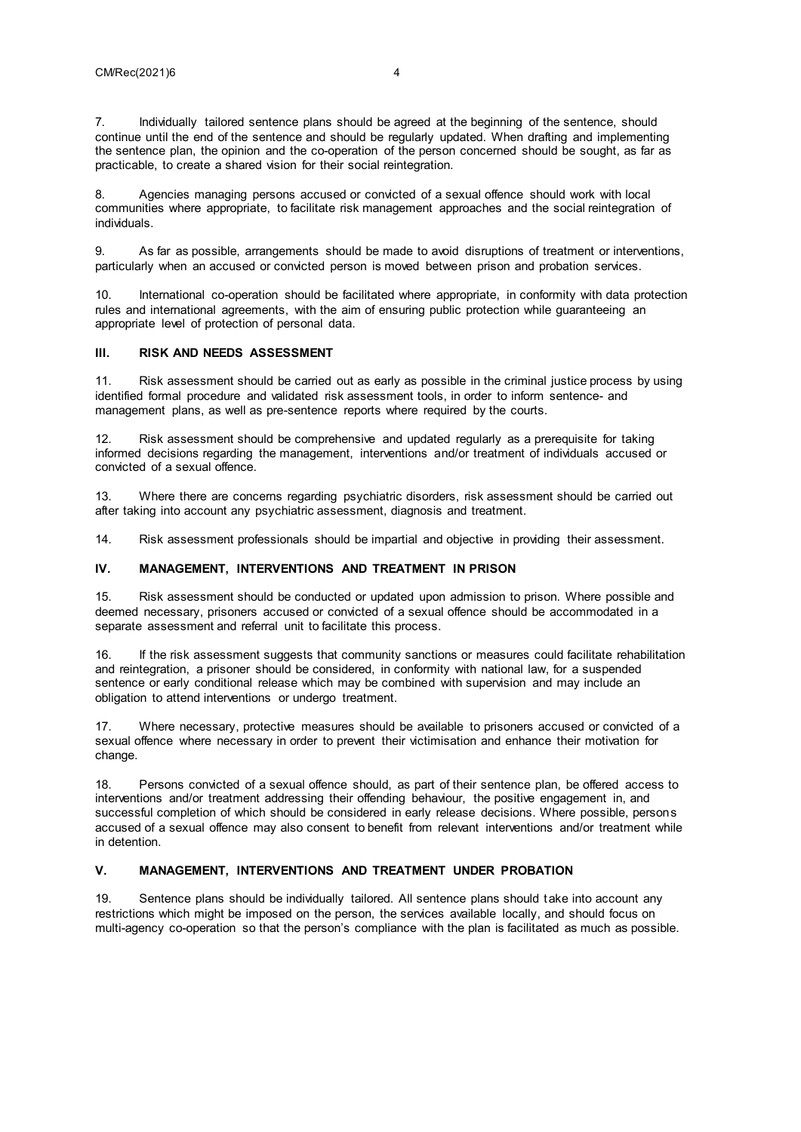7. Individually tailored sentence plans should be agreed at the beginning of the sentence, should continue until the end of the sentence and should be regularly updated. When drafting and implementing the sentence plan, the opinion and the co-operation of the person concerned should be sought, as far as practicable, to create a shared vision for their social reintegration.

8. Agencies managing persons accused or convicted of a sexual offence should work with local communities where appropriate, to facilitate risk management approaches and the social reintegration of individuals.

9. As far as possible, arrangements should be made to avoid disruptions of treatment or interventions, particularly when an accused or convicted person is moved between prison and probation services.

10. International co-operation should be facilitated where appropriate, in conformity with data protection rules and international agreements, with the aim of ensuring public protection while guaranteeing an appropriate level of protection of personal data.

#### **III. RISK AND NEEDS ASSESSMENT**

11. Risk assessment should be carried out as early as possible in the criminal justice process by using identified formal procedure and validated risk assessment tools, in order to inform sentence- and management plans, as well as pre-sentence reports where required by the courts.

12. Risk assessment should be comprehensive and updated regularly as a prerequisite for taking informed decisions regarding the management, interventions and/or treatment of individuals accused or convicted of a sexual offence.

13. Where there are concerns regarding psychiatric disorders, risk assessment should be carried out after taking into account any psychiatric assessment, diagnosis and treatment.

14. Risk assessment professionals should be impartial and objective in providing their assessment.

## **IV. MANAGEMENT, INTERVENTIONS AND TREATMENT IN PRISON**

15. Risk assessment should be conducted or updated upon admission to prison. Where possible and deemed necessary, prisoners accused or convicted of a sexual offence should be accommodated in a separate assessment and referral unit to facilitate this process.

16. If the risk assessment suggests that community sanctions or measures could facilitate rehabilitation and reintegration, a prisoner should be considered, in conformity with national law, for a suspended sentence or early conditional release which may be combined with supervision and may include an obligation to attend interventions or undergo treatment.

17. Where necessary, protective measures should be available to prisoners accused or convicted of a sexual offence where necessary in order to prevent their victimisation and enhance their motivation for change.

18. Persons convicted of a sexual offence should, as part of their sentence plan, be offered access to interventions and/or treatment addressing their offending behaviour, the positive engagement in, and successful completion of which should be considered in early release decisions. Where possible, persons accused of a sexual offence may also consent to benefit from relevant interventions and/or treatment while in detention.

## **V. MANAGEMENT, INTERVENTIONS AND TREATMENT UNDER PROBATION**

19. Sentence plans should be individually tailored. All sentence plans should take into account any restrictions which might be imposed on the person, the services available locally, and should focus on multi-agency co-operation so that the person's compliance with the plan is facilitated as much as possible.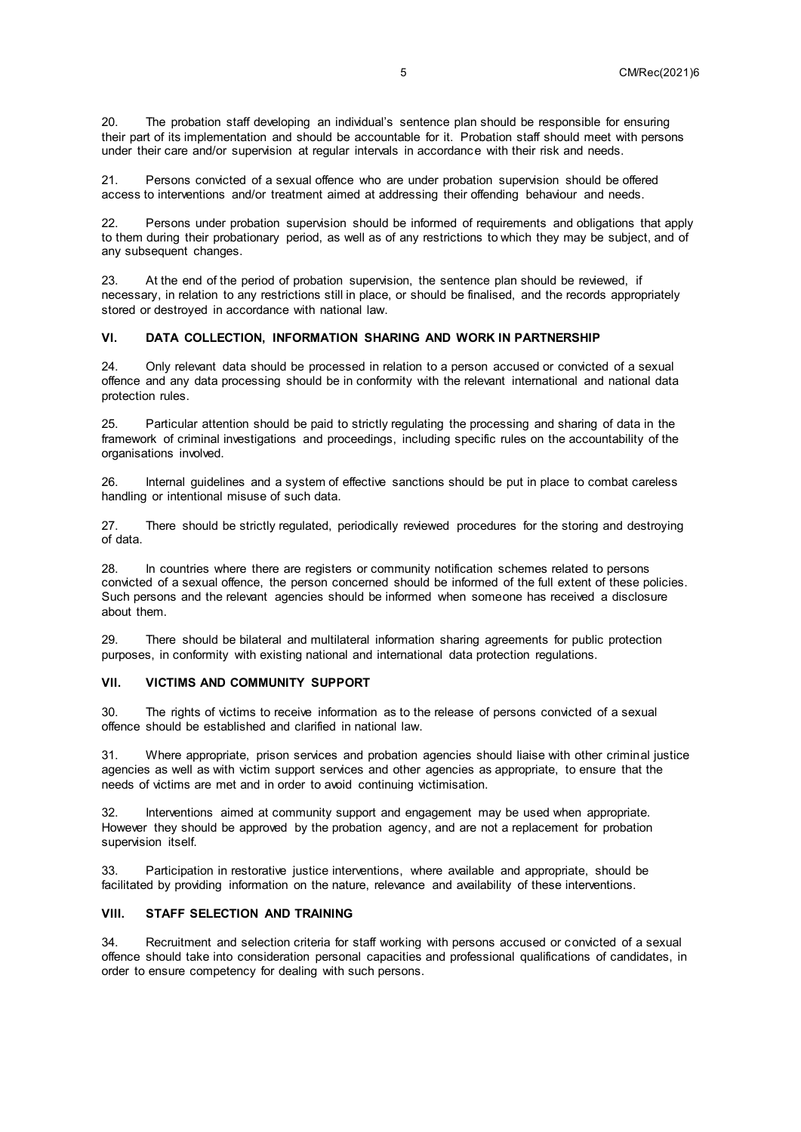20. The probation staff developing an individual's sentence plan should be responsible for ensuring their part of its implementation and should be accountable for it. Probation staff should meet with persons under their care and/or supervision at regular intervals in accordance with their risk and needs.

21. Persons convicted of a sexual offence who are under probation supervision should be offered access to interventions and/or treatment aimed at addressing their offending behaviour and needs.

22. Persons under probation supervision should be informed of requirements and obligations that apply to them during their probationary period, as well as of any restrictions to which they may be subject, and of any subsequent changes.

23. At the end of the period of probation supervision, the sentence plan should be reviewed, if necessary, in relation to any restrictions still in place, or should be finalised, and the records appropriately stored or destroyed in accordance with national law.

#### **VI. DATA COLLECTION, INFORMATION SHARING AND WORK IN PARTNERSHIP**

24. Only relevant data should be processed in relation to a person accused or convicted of a sexual offence and any data processing should be in conformity with the relevant international and national data protection rules.

25. Particular attention should be paid to strictly regulating the processing and sharing of data in the framework of criminal investigations and proceedings, including specific rules on the accountability of the organisations involved.

26. Internal guidelines and a system of effective sanctions should be put in place to combat careless handling or intentional misuse of such data.

27. There should be strictly regulated, periodically reviewed procedures for the storing and destroying of data.

28. In countries where there are registers or community notification schemes related to persons convicted of a sexual offence, the person concerned should be informed of the full extent of these policies. Such persons and the relevant agencies should be informed when someone has received a disclosure about them.

29. There should be bilateral and multilateral information sharing agreements for public protection purposes, in conformity with existing national and international data protection regulations.

#### **VII. VICTIMS AND COMMUNITY SUPPORT**

30. The rights of victims to receive information as to the release of persons convicted of a sexual offence should be established and clarified in national law.

31. Where appropriate, prison services and probation agencies should liaise with other criminal justice agencies as well as with victim support services and other agencies as appropriate, to ensure that the needs of victims are met and in order to avoid continuing victimisation.

Interventions aimed at community support and engagement may be used when appropriate. However they should be approved by the probation agency, and are not a replacement for probation supervision itself.

33. Participation in restorative justice interventions, where available and appropriate, should be facilitated by providing information on the nature, relevance and availability of these interventions.

#### **VIII. STAFF SELECTION AND TRAINING**

34. Recruitment and selection criteria for staff working with persons accused or convicted of a sexual offence should take into consideration personal capacities and professional qualifications of candidates, in order to ensure competency for dealing with such persons.